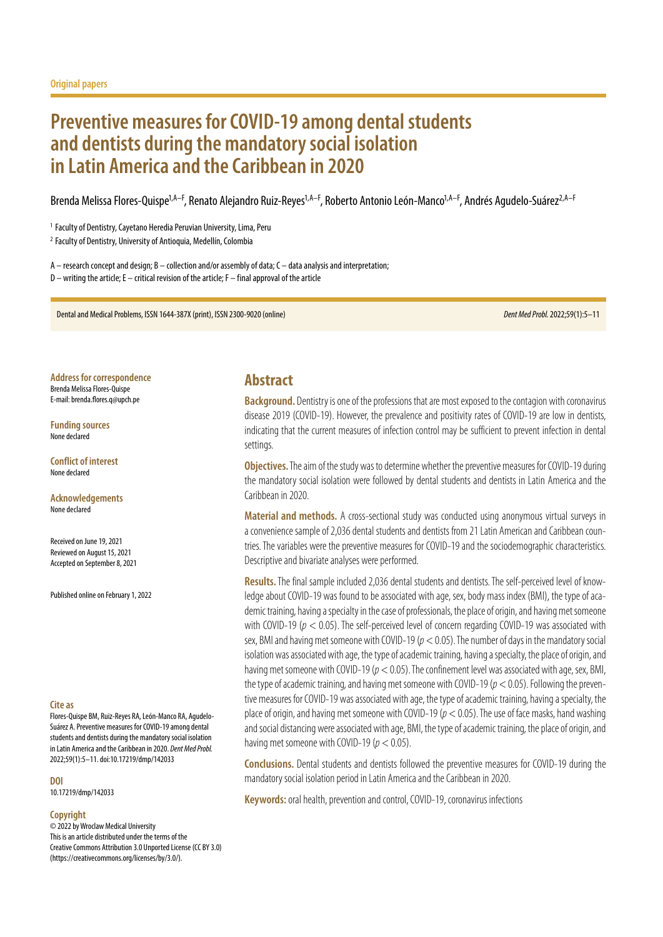# **Preventive measures for COVID‑19 among dental students and dentists during the mandatory social isolation in Latin America and the Caribbean in 2020**

Brenda Melissa Flores-Quispe<sup>1,A–F</sup>, Renato Alejandro Ruiz-Reyes<sup>1,A–F</sup>, Roberto Antonio León-Manco<sup>1,A–F</sup>, Andrés Agudelo-Suárez<sup>2,A–F</sup>

<sup>1</sup> Faculty of Dentistry, Cayetano Heredia Peruvian University, Lima, Peru

<sup>2</sup> Faculty of Dentistry, University of Antioquia, Medellín, Colombia

 $A$  – research concept and design; B – collection and/or assembly of data; C – data analysis and interpretation;  $D$  – writing the article; E – critical revision of the article; F – final approval of the article

Dental and Medical Problems, ISSN 1644-387X (print), ISSN 2300-9020 (online) *Dent Med Probl.* 2022;59(1):5–11

**Address for correspondence** Brenda Melissa Flores-Quispe E-mail: brenda.flores.q@upch.pe

**Funding sources** None declared

**Conflict of interest** None declared

**Acknowledgements** None declared

Received on June 19, 2021 Reviewed on August 15, 2021 Accepted on September 8, 2021

Published online on February 1, 2022

#### **Cite as**

Flores-Quispe BM, Ruiz-Reyes RA, León-Manco RA, Agudelo-Suárez A. Preventive measures for COVID-19 among dental students and dentists during the mandatory social isolation in Latin America and the Caribbean in 2020. *Dent Med Probl.* 2022;59(1):5–11. doi:10.17219/dmp/142033

**DOI**

10.17219/dmp/142033

#### **Copyright**

© 2022 by Wroclaw Medical University This is an article distributed under the terms of the Creative Commons Attribution 3.0 Unported License (CC BY 3.0) [\(https://creativecommons.org/licenses/by/3.0/\)](https://creativecommons.org/licenses/by/3.0/).

### **Abstract**

**Background.** Dentistry is one of the professions that are most exposed to the contagion with coronavirus disease 2019 (COVID-19). However, the prevalence and positivity rates of COVID-19 are low in dentists, indicating that the current measures of infection control may be sufficient to prevent infection in dental settings.

**Objectives.** The aim of the study was to determine whether the preventive measures for COVID-19 during the mandatory social isolation were followed by dental students and dentists in Latin America and the Caribbean in 2020.

**Material and methods.** A cross-sectional study was conducted using anonymous virtual surveys in a convenience sample of 2,036 dental students and dentists from 21 Latin American and Caribbean countries. The variables were the preventive measures for COVID‑19 and the sociodemographic characteristics. Descriptive and bivariate analyses were performed.

Results. The final sample included 2,036 dental students and dentists. The self-perceived level of knowledge about COVID–19 was found to be associated with age, sex, body mass index (BMI), the type of aca– demic training, having a specialty in the case of professionals, the place of origin, and having met someone with COVID-19 ( $p < 0.05$ ). The self-perceived level of concern regarding COVID-19 was associated with sex, BMI and having met someone with COVID‑19 (*p* < 0.05). The number of days in the mandatory social isolation was associated with age, the type of academic training, having a specialty, the place of origin, and having met someone with COVID-19 ( $p < 0.05$ ). The confinement level was associated with age, sex, BMI, the type of academic training, and having met someone with COVID-19 ( $p < 0.05$ ). Following the preventive measures for COVID‑19 was associated with age, the type of academic training, having a specialty, the place of origin, and having met someone with COVID‑19 (*p* < 0.05). The use of face masks, hand washing and social distancing were associated with age, BMI, the type of academic training, the place of origin, and having met someone with COVID‑19 (*p* < 0.05).

**Conclusions.** Dental students and dentists followed the preventive measures for COVID-19 during the mandatory social isolation period in Latin America and the Caribbean in 2020.

**Keywords:** oral health, prevention and control, COVID‑19, coronavirus infections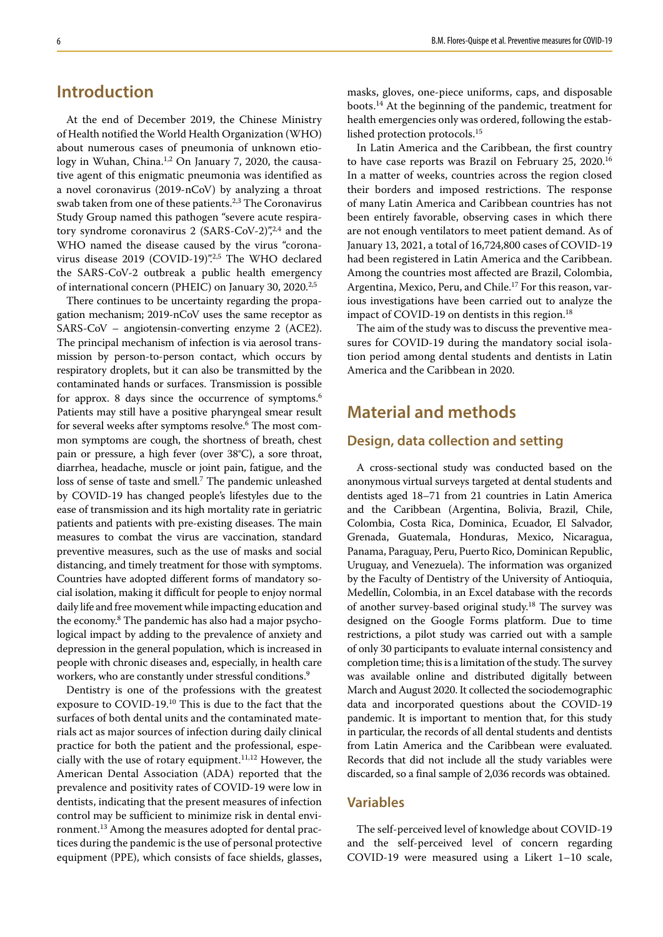## **Introduction**

At the end of December 2019, the Chinese Ministry of Health notified the World Health Organization (WHO) about numerous cases of pneumonia of unknown etiology in Wuhan, China.<sup>1,2</sup> On January 7, 2020, the causative agent of this enigmatic pneumonia was identified as a novel coronavirus (2019-nCoV) by analyzing a throat swab taken from one of these patients.<sup>2,3</sup> The Coronavirus Study Group named this pathogen "severe acute respiratory syndrome coronavirus 2 (SARS-CoV-2)",<sup>2,4</sup> and the WHO named the disease caused by the virus "coronavirus disease 2019 (COVID-19)".<sup>2,5</sup> The WHO declared the SARS-CoV-2 outbreak a public health emergency of international concern (PHEIC) on January 30, 2020.<sup>2,5</sup>

There continues to be uncertainty regarding the propagation mechanism; 2019-nCoV uses the same receptor as SARS-CoV – angiotensin-converting enzyme 2 (ACE2). The principal mechanism of infection is via aerosol transmission by person-to-person contact, which occurs by respiratory droplets, but it can also be transmitted by the contaminated hands or surfaces. Transmission is possible for approx. 8 days since the occurrence of symptoms.<sup>6</sup> Patients may still have a positive pharyngeal smear result for several weeks after symptoms resolve.6 The most common symptoms are cough, the shortness of breath, chest pain or pressure, a high fever (over 38°C), a sore throat, diarrhea, headache, muscle or joint pain, fatigue, and the loss of sense of taste and smell.<sup>7</sup> The pandemic unleashed by COVID-19 has changed people's lifestyles due to the ease of transmission and its high mortality rate in geriatric patients and patients with pre-existing diseases. The main measures to combat the virus are vaccination, standard preventive measures, such as the use of masks and social distancing, and timely treatment for those with symptoms. Countries have adopted different forms of mandatory social isolation, making it difficult for people to enjoy normal daily life and free movement while impacting education and the economy.8 The pandemic has also had a major psychological impact by adding to the prevalence of anxiety and depression in the general population, which is increased in people with chronic diseases and, especially, in health care workers, who are constantly under stressful conditions.<sup>9</sup>

Dentistry is one of the professions with the greatest exposure to COVID-19.<sup>10</sup> This is due to the fact that the surfaces of both dental units and the contaminated materials act as major sources of infection during daily clinical practice for both the patient and the professional, especially with the use of rotary equipment.<sup>11,12</sup> However, the American Dental Association (ADA) reported that the prevalence and positivity rates of COVID-19 were low in dentists, indicating that the present measures of infection control may be sufficient to minimize risk in dental environment.13 Among the measures adopted for dental practices during the pandemic is the use of personal protective equipment (PPE), which consists of face shields, glasses, masks, gloves, one-piece uniforms, caps, and disposable boots.14 At the beginning of the pandemic, treatment for health emergencies only was ordered, following the established protection protocols.15

In Latin America and the Caribbean, the first country to have case reports was Brazil on February 25, 2020.16 In a matter of weeks, countries across the region closed their borders and imposed restrictions. The response of many Latin America and Caribbean countries has not been entirely favorable, observing cases in which there are not enough ventilators to meet patient demand. As of January 13, 2021, a total of 16,724,800 cases of COVID-19 had been registered in Latin America and the Caribbean. Among the countries most affected are Brazil, Colombia, Argentina, Mexico, Peru, and Chile.17 For this reason, various investigations have been carried out to analyze the impact of COVID-19 on dentists in this region.<sup>18</sup>

The aim of the study was to discuss the preventive measures for COVID-19 during the mandatory social isolation period among dental students and dentists in Latin America and the Caribbean in 2020.

# **Material and methods**

### **Design, data collection and setting**

A cross-sectional study was conducted based on the anonymous virtual surveys targeted at dental students and dentists aged 18–71 from 21 countries in Latin America and the Caribbean (Argentina, Bolivia, Brazil, Chile, Colombia, Costa Rica, Dominica, Ecuador, El Salvador, Grenada, Guatemala, Honduras, Mexico, Nicaragua, Panama, Paraguay, Peru, Puerto Rico, Dominican Republic, Uruguay, and Venezuela). The information was organized by the Faculty of Dentistry of the University of Antioquia, Medellín, Colombia, in an Excel database with the records of another survey-based original study.18 The survey was designed on the Google Forms platform. Due to time restrictions, a pilot study was carried out with a sample of only 30 participants to evaluate internal consistency and completion time; this is a limitation of the study. The survey was available online and distributed digitally between March and August 2020. It collected the sociodemographic data and incorporated questions about the COVID-19 pandemic. It is important to mention that, for this study in particular, the records of all dental students and dentists from Latin America and the Caribbean were evaluated. Records that did not include all the study variables were discarded, so a final sample of 2,036 records was obtained.

### **Variables**

The self-perceived level of knowledge about COVID-19 and the self-perceived level of concern regarding COVID-19 were measured using a Likert 1-10 scale,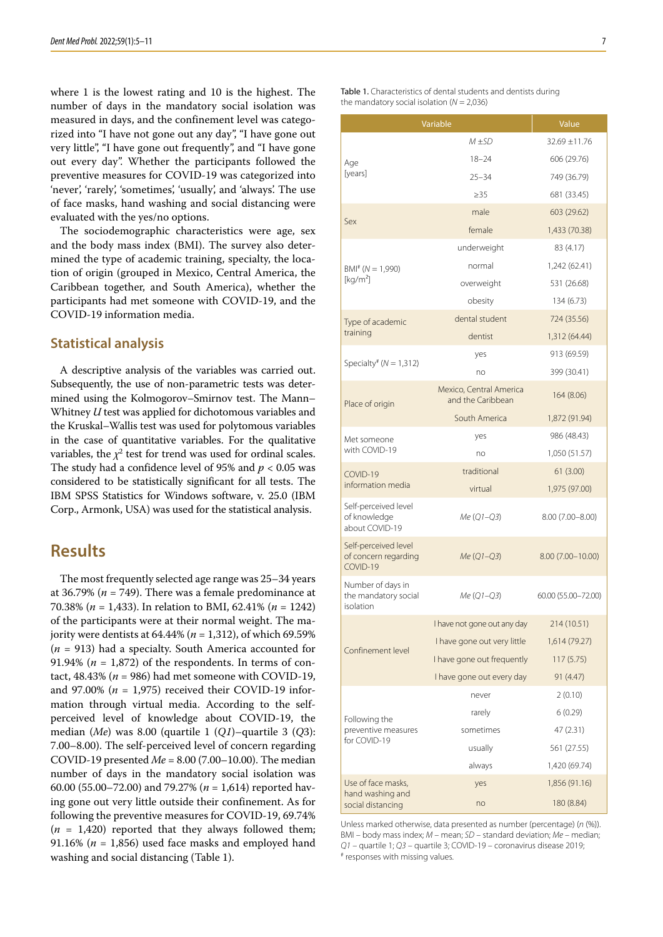where 1 is the lowest rating and 10 is the highest. The number of days in the mandatory social isolation was measured in days, and the confinement level was categorized into "I have not gone out any day", "I have gone out very little", "I have gone out frequently", and "I have gone out every day". Whether the participants followed the preventive measures for COVID-19 was categorized into 'never', 'rarely', 'sometimes', 'usually', and 'always'. The use of face masks, hand washing and social distancing were evaluated with the yes/no options.

The sociodemographic characteristics were age, sex and the body mass index (BMI). The survey also determined the type of academic training, specialty, the location of origin (grouped in Mexico, Central America, the Caribbean together, and South America), whether the participants had met someone with COVID-19, and the COVID-19 information media.

#### **Statistical analysis**

A descriptive analysis of the variables was carried out. Subsequently, the use of non-parametric tests was determined using the Kolmogorov–Smirnov test. The Mann– Whitney *U* test was applied for dichotomous variables and the Kruskal–Wallis test was used for polytomous variables in the case of quantitative variables. For the qualitative variables, the  $\chi^2$  test for trend was used for ordinal scales. The study had a confidence level of 95% and *p* < 0.05 was considered to be statistically significant for all tests. The IBM SPSS Statistics for Windows software, v. 25.0 (IBM Corp., Armonk, USA) was used for the statistical analysis.

### **Results**

The most frequently selected age range was 25–34 years at 36.79% (*n* = 749). There was a female predominance at 70.38% (*n* = 1,433). In relation to BMI, 62.41% (*n* = 1242) of the participants were at their normal weight. The majority were dentists at 64.44% (*n* = 1,312), of which 69.59% (*n* = 913) had a specialty. South America accounted for 91.94% ( $n = 1,872$ ) of the respondents. In terms of contact,  $48.43\%$  ( $n = 986$ ) had met someone with COVID-19, and 97.00%  $(n = 1,975)$  received their COVID-19 information through virtual media. According to the selfperceived level of knowledge about COVID-19, the median (*Me*) was 8.00 (quartile 1 (*Q1*)–quartile 3 (*Q*3): 7.00–8.00). The self-perceived level of concern regarding COVID-19 presented *Me* = 8.00 (7.00–10.00). The median number of days in the mandatory social isolation was 60.00 (55.00–72.00) and 79.27% (*n* = 1,614) reported having gone out very little outside their confinement. As for following the preventive measures for COVID-19, 69.74%  $(n = 1,420)$  reported that they always followed them; 91.16% ( $n = 1,856$ ) used face masks and employed hand washing and social distancing (Table 1).

| Table 1. Characteristics of dental students and dentists during |  |  |
|-----------------------------------------------------------------|--|--|
| the mandatory social isolation ( $N = 2,036$ )                  |  |  |

|                                                          | Variable                                     | Value               |  |  |
|----------------------------------------------------------|----------------------------------------------|---------------------|--|--|
|                                                          | $M + SD$                                     | 32.69 ±11.76        |  |  |
| Age                                                      | $18 - 24$                                    | 606 (29.76)         |  |  |
| [years]                                                  | $25 - 34$                                    | 749 (36.79)         |  |  |
|                                                          | $\geq$ 35                                    | 681 (33.45)         |  |  |
|                                                          | male                                         | 603 (29.62)         |  |  |
| Sex                                                      | female                                       | 1,433 (70.38)       |  |  |
|                                                          | underweight                                  | 83 (4.17)           |  |  |
| $BM^* (N = 1,990)$                                       | normal                                       | 1,242 (62.41)       |  |  |
| [kg/m <sup>2</sup> ]                                     | overweight                                   | 531 (26.68)         |  |  |
|                                                          | obesity                                      | 134 (6.73)          |  |  |
| Type of academic                                         | dental student                               | 724 (35.56)         |  |  |
| training                                                 | dentist                                      | 1,312 (64.44)       |  |  |
|                                                          | yes                                          | 913 (69.59)         |  |  |
| Specialty# ( $N = 1,312$ )                               | no                                           | 399 (30.41)         |  |  |
| Place of origin                                          | Mexico, Central America<br>and the Caribbean | 164 (8.06)          |  |  |
|                                                          | South America                                | 1,872 (91.94)       |  |  |
| Met someone                                              | yes                                          | 986 (48.43)         |  |  |
| with COVID-19                                            | no                                           | 1,050 (51.57)       |  |  |
| COVID-19                                                 | traditional                                  | 61 (3.00)           |  |  |
| information media                                        | virtual                                      | 1,975 (97.00)       |  |  |
| Self-perceived level<br>of knowledge<br>about COVID-19   | $Me (Q1 - Q3)$                               | $8.00(7.00 - 8.00)$ |  |  |
| Self-perceived level<br>of concern regarding<br>COVID-19 | $Me (Q1 - Q3)$                               | 8.00 (7.00-10.00)   |  |  |
| Number of days in<br>the mandatory social<br>isolation   | $Me (Q1 - Q3)$                               | 60.00 (55.00-72.00) |  |  |
|                                                          | I have not gone out any day                  | 214 (10.51)         |  |  |
| Confinement level                                        | I have gone out very little                  | 1,614 (79.27)       |  |  |
|                                                          | I have gone out frequently                   | 117(5.75)           |  |  |
|                                                          | I have gone out every day                    | 91 (4.47)           |  |  |
|                                                          | never                                        | 2(0.10)             |  |  |
| Following the                                            | rarely                                       | 6(0.29)             |  |  |
| preventive measures                                      | sometimes                                    | 47 (2.31)           |  |  |
| for COVID-19                                             | usually                                      | 561 (27.55)         |  |  |
|                                                          | always                                       | 1,420 (69.74)       |  |  |
| Use of face masks,                                       | yes                                          | 1,856 (91.16)       |  |  |
| hand washing and<br>social distancing                    | no                                           | 180 (8.84)          |  |  |

Unless marked otherwise, data presented as number (percentage) (*n* (%)). BMI – body mass index; *M* – mean; *SD* – standard deviation; *Me* – median; *Q1* – quartile 1; *Q3* – quartile 3; COVID-19 – coronavirus disease 2019; # # responses with missing values.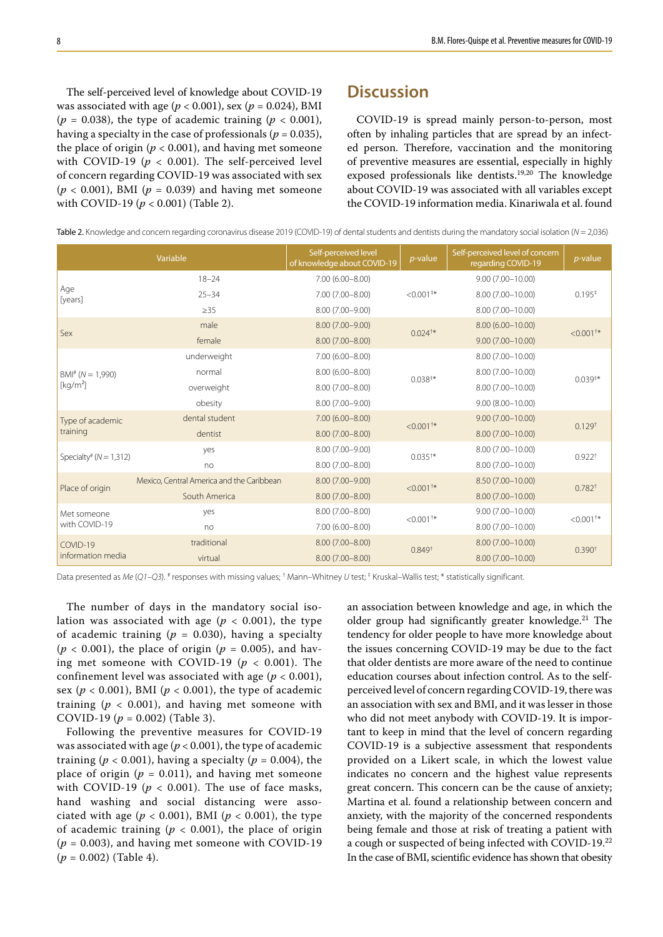The self-perceived level of knowledge about COVID-19 was associated with age ( $p < 0.001$ ), sex ( $p = 0.024$ ), BMI  $(p = 0.038)$ , the type of academic training  $(p < 0.001)$ , having a specialty in the case of professionals ( $p = 0.035$ ), the place of origin ( $p < 0.001$ ), and having met someone with COVID-19 ( $p < 0.001$ ). The self-perceived level of concern regarding COVID-19 was associated with sex  $(p < 0.001)$ , BMI ( $p = 0.039$ ) and having met someone with COVID-19 ( $p < 0.001$ ) (Table 2).

## **Discussion**

COVID-19 is spread mainly person-to-person, most often by inhaling particles that are spread by an infected person. Therefore, vaccination and the monitoring of preventive measures are essential, especially in highly exposed professionals like dentists.19,20 The knowledge about COVID-19 was associated with all variables except the COVID-19 information media. Kinariwala et al. found

Table 2. Knowledge and concern regarding coronavirus disease 2019 (COVID-19) of dental students and dentists during the mandatory social isolation (*N* = 2,036)

| Variable                               |                                           | Self-perceived level<br>of knowledge about COVID-19 | $p$ -value         | Self-perceived level of concern<br>regarding COVID-19 | $p$ -value           |  |
|----------------------------------------|-------------------------------------------|-----------------------------------------------------|--------------------|-------------------------------------------------------|----------------------|--|
|                                        | $18 - 24$                                 | $7.00(6.00 - 8.00)$                                 |                    | $9.00(7.00 - 10.00)$                                  | 0.195 <sup>‡</sup>   |  |
| Age<br>[years]                         | $25 - 34$                                 | 7.00 (7.00-8.00)                                    | $< 0.001**$        | 8.00 (7.00-10.00)                                     |                      |  |
|                                        | $\geq$ 35                                 | 8.00 (7.00-9.00)                                    |                    | 8.00 (7.00-10.00)                                     |                      |  |
|                                        | male                                      | 8.00 (7.00-9.00)                                    | $0.024^{+*}$       | $8.00(6.00 - 10.00)$                                  | $< 0.001^{+*}$       |  |
| Sex                                    | female                                    | 8.00 (7.00-8.00)                                    |                    | $9.00(7.00 - 10.00)$                                  |                      |  |
|                                        | underweight                               | 7.00 (6.00-8.00)                                    |                    | 8.00 (7.00-10.00)                                     | $0.039**$            |  |
| $BM^*$ ( $N = 1,990$ )                 | normal                                    | $8.00(6.00 - 8.00)$                                 | $0.038^{+*}$       | 8.00 (7.00-10.00)                                     |                      |  |
| [kq/m <sup>2</sup> ]                   | overweight                                | 8.00 (7.00-8.00)                                    |                    | 8.00 (7.00-10.00)                                     |                      |  |
|                                        | obesity                                   | 8.00 (7.00-9.00)                                    |                    | $9.00(8.00 - 10.00)$                                  |                      |  |
| Type of academic<br>training           | dental student                            | $7.00(6.00 - 8.00)$                                 | $< 0.001^{+*}$     | $9.00(7.00 - 10.00)$                                  | $0.129^{+}$          |  |
|                                        | dentist                                   | 8.00 (7.00-8.00)                                    |                    | $8.00(7.00 - 10.00)$                                  |                      |  |
| Specialty <sup>#</sup> ( $N = 1,312$ ) | yes                                       | 8.00 (7.00-9.00)                                    | $0.035^{+*}$       | 8.00 (7.00-10.00)                                     | $0.922$ <sup>+</sup> |  |
|                                        | no                                        | 8.00 (7.00-8.00)                                    |                    | 8.00 (7.00-10.00)                                     |                      |  |
|                                        | Mexico, Central America and the Caribbean | 8.00 (7.00-9.00)                                    | $< 0.001^{+*}$     | 8.50 (7.00-10.00)                                     |                      |  |
| Place of origin                        | South America                             | 8.00 (7.00-8.00)                                    |                    | $8.00(7.00 - 10.00)$                                  | $0.782^{+}$          |  |
| Met someone<br>with COVID-19           | yes                                       | 8.00 (7.00-8.00)                                    | $< 0.001^{+*}$     | $9.00(7.00 - 10.00)$                                  | $< 0.001^{+*}$       |  |
|                                        | no                                        | 7.00 (6.00-8.00)                                    |                    | 8.00 (7.00-10.00)                                     |                      |  |
| COVID-19                               | traditional                               | 8.00 (7.00-8.00)                                    | 0.849 <sup>†</sup> | 8.00 (7.00-10.00)                                     | 0.390 <sup>†</sup>   |  |
| information media                      | virtual                                   | 8.00 (7.00-8.00)                                    |                    | 8.00 (7.00-10.00)                                     |                      |  |

Data presented as Me (Q1-Q3). <sup>#</sup> responses with missing values; <sup>†</sup> Mann-Whitney U test; <sup>‡</sup> Kruskal-Wallis test; \* statistically significant.

The number of days in the mandatory social isolation was associated with age ( $p < 0.001$ ), the type of academic training ( $p = 0.030$ ), having a specialty  $(p < 0.001)$ , the place of origin ( $p = 0.005$ ), and having met someone with COVID-19 ( $p < 0.001$ ). The confinement level was associated with age ( $p < 0.001$ ), sex ( $p < 0.001$ ), BMI ( $p < 0.001$ ), the type of academic training ( $p < 0.001$ ), and having met someone with COVID-19 ( $p = 0.002$ ) (Table 3).

Following the preventive measures for COVID-19 was associated with age (*p* < 0.001), the type of academic training ( $p < 0.001$ ), having a specialty ( $p = 0.004$ ), the place of origin ( $p = 0.011$ ), and having met someone with COVID-19 ( $p < 0.001$ ). The use of face masks, hand washing and social distancing were associated with age ( $p < 0.001$ ), BMI ( $p < 0.001$ ), the type of academic training  $(p < 0.001)$ , the place of origin  $(p = 0.003)$ , and having met someone with COVID-19 (*p* = 0.002) (Table 4).

an association between knowledge and age, in which the older group had significantly greater knowledge.<sup>21</sup> The tendency for older people to have more knowledge about the issues concerning COVID-19 may be due to the fact that older dentists are more aware of the need to continue education courses about infection control. As to the selfperceived level of concern regarding COVID-19, there was an association with sex and BMI, and it was lesser in those who did not meet anybody with COVID-19. It is important to keep in mind that the level of concern regarding COVID-19 is a subjective assessment that respondents provided on a Likert scale, in which the lowest value indicates no concern and the highest value represents great concern. This concern can be the cause of anxiety; Martina et al. found a relationship between concern and anxiety, with the majority of the concerned respondents being female and those at risk of treating a patient with a cough or suspected of being infected with COVID-19.<sup>22</sup> In the case of BMI, scientific evidence has shown that obesity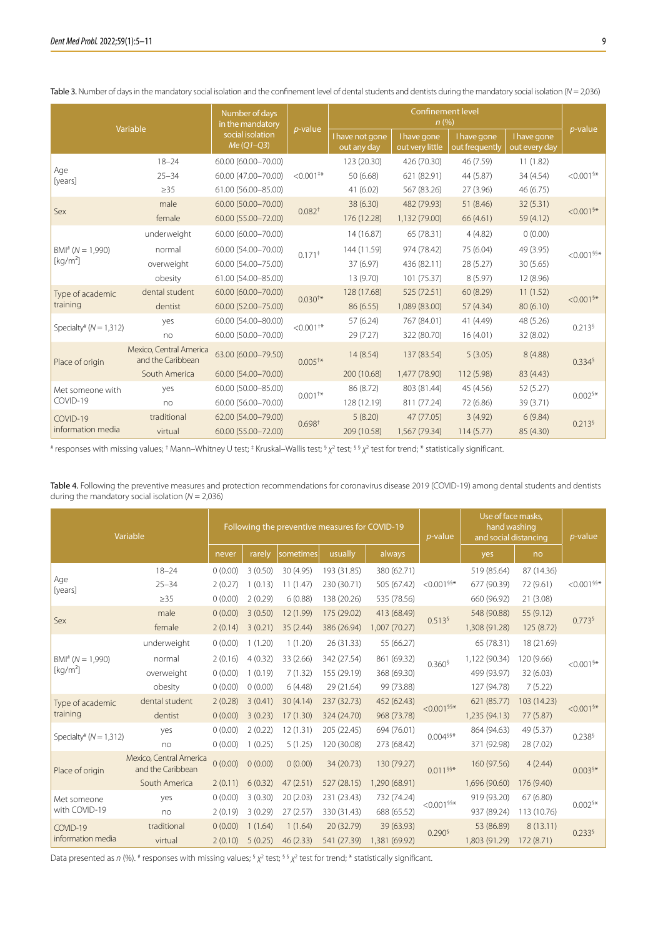| Variable                      |                                              | Number of days<br>in the mandatory | <i>p</i> -value    | <b>Confinement level</b><br>n(%) |                                |                               |                              |                         |
|-------------------------------|----------------------------------------------|------------------------------------|--------------------|----------------------------------|--------------------------------|-------------------------------|------------------------------|-------------------------|
|                               |                                              | social isolation<br>$Me (Q1 - Q3)$ |                    | I have not gone<br>out any day   | I have gone<br>out very little | I have gone<br>out frequently | I have gone<br>out every day | $p$ -value              |
|                               | $18 - 24$                                    | 60.00 (60.00-70.00)                |                    | 123 (20.30)                      | 426 (70.30)                    | 46 (7.59)                     | 11(1.82)                     |                         |
| Age<br>[years]                | $25 - 34$                                    | 60.00 (47.00-70.00)                | $< 0.001**$        | 50 (6.68)                        | 621 (82.91)                    | 44 (5.87)                     | 34 (4.54)                    | $< 0.001$ <sup>§*</sup> |
|                               | $\geq$ 35                                    | 61.00 (56.00-85.00)                |                    | 41(6.02)                         | 567 (83.26)                    | 27 (3.96)                     | 46 (6.75)                    |                         |
|                               | male                                         | 60.00 (50.00-70.00)                |                    | 38 (6.30)                        | 482 (79.93)                    | 51 (8.46)                     | 32 (5.31)                    | $< 0.001$ §*            |
| Sex                           | female                                       | 60.00 (55.00-72.00)                | 0.082 <sup>†</sup> | 176 (12.28)                      | 1,132 (79.00)                  | 66 (4.61)                     | 59 (4.12)                    |                         |
|                               | underweight                                  | 60.00 (60.00-70.00)                |                    | 14 (16.87)                       | 65 (78.31)                     | 4(4.82)                       | 0(0.00)                      | $< 0.001$ §§*           |
| $BMI^* (N = 1,990)$           | normal                                       | 60.00 (54.00-70.00)                | $0.171*$           | 144 (11.59)                      | 974 (78.42)                    | 75 (6.04)                     | 49 (3.95)                    |                         |
| [kq/m <sup>2</sup> ]          | overweight                                   | 60.00 (54.00-75.00)                |                    | 37 (6.97)                        | 436 (82.11)                    | 28 (5.27)                     | 30 (5.65)                    |                         |
|                               | obesity                                      | 61.00 (54.00-85.00)                |                    | 13 (9.70)                        | 101 (75.37)                    | 8(5.97)                       | 12 (8.96)                    |                         |
| Type of academic              | dental student                               | 60.00 (60.00-70.00)                |                    | 128 (17.68)                      | 525 (72.51)                    | 60 (8.29)                     | 11(1.52)                     | $< 0.001$ §*            |
| training                      | dentist                                      | 60.00 (52.00-75.00)                | $0.030^{+*}$       | 86 (6.55)                        | 1,089 (83.00)                  | 57 (4.34)                     | 80 (6.10)                    |                         |
| Specialty# $(N = 1,312)$      | yes                                          | 60.00 (54.00-80.00)                | $< 0.001^{+*}$     | 57 (6.24)                        | 767 (84.01)                    | 41 (4.49)                     | 48 (5.26)                    | 0.213 <sup>6</sup>      |
|                               | no                                           | 60.00 (50.00-70.00)                |                    | 29 (7.27)                        | 322 (80.70)                    | 16(4.01)                      | 32 (8.02)                    |                         |
| Place of origin               | Mexico, Central America<br>and the Caribbean | 63.00 (60.00-79.50)                | $0.005^{+*}$       | 14 (8.54)                        | 137 (83.54)                    | 5(3.05)                       | 8(4.88)                      | 0.334 <sup>6</sup>      |
|                               | South America                                | 60.00 (54.00-70.00)                |                    | 200 (10.68)                      | 1,477 (78.90)                  | 112 (5.98)                    | 83 (4.43)                    |                         |
| Met someone with<br>COVID-19  | yes                                          | 60.00 (50.00-85.00)                | $0.001^{+*}$       | 86 (8.72)                        | 803 (81.44)                    | 45 (4.56)                     | 52 (5.27)                    | $0.002$ <sup>§*</sup>   |
|                               | no                                           | 60.00 (56.00-70.00)                |                    | 128 (12.19)                      | 811 (77.24)                    | 72 (6.86)                     | 39 (3.71)                    |                         |
| COVID-19<br>information media | traditional                                  | 62.00 (54.00-79.00)                | 0.698 <sup>†</sup> | 5(8.20)                          | 47 (77.05)                     | 3(4.92)                       | 6(9.84)                      | 0.213 <sup>6</sup>      |
|                               | virtual                                      | 60.00 (55.00-72.00)                |                    | 209 (10.58)                      | 1,567 (79.34)                  | 114(5.77)                     | 85 (4.30)                    |                         |

Table 3. Number of days in the mandatory social isolation and the confinement level of dental students and dentists during the mandatory social isolation (*N* = 2,036)

# responses with missing values; † Mann–Whitney U test; ‡ Kruskal–Wallis test; § *χ*<sup>2</sup> test; § § *χ*<sup>2</sup> test for trend; \* statistically significant.

Table 4. Following the preventive measures and protection recommendations for coronavirus disease 2019 (COVID-19) among dental students and dentists during the mandatory social isolation  $(N = 2,036)$ 

| Variable                     |                                              | Following the preventive measures for COVID-19 |         |           |             | $p$ -value    | Use of face masks,<br>hand washing<br>and social distancing |               | $p$ -value  |                       |
|------------------------------|----------------------------------------------|------------------------------------------------|---------|-----------|-------------|---------------|-------------------------------------------------------------|---------------|-------------|-----------------------|
|                              |                                              | never                                          | rarely  | sometimes | usually     | always        |                                                             | yes           | no          |                       |
|                              | $18 - 24$                                    | 0(0.00)                                        | 3(0.50) | 30 (4.95) | 193 (31.85) | 380 (62.71)   |                                                             | 519 (85.64)   | 87 (14.36)  |                       |
| Age<br>[years]               | $25 - 34$                                    | 2(0.27)                                        | 1(0.13) | 11(1.47)  | 230 (30.71) | 505 (67.42)   | $< 0.001$ <sup>§§*</sup>                                    | 677 (90.39)   | 72 (9.61)   | $<$ 0.001 $$$         |
|                              | $\geq$ 35                                    | 0(0.00)                                        | 2(0.29) | 6(0.88)   | 138 (20.26) | 535 (78.56)   |                                                             | 660 (96.92)   | 21 (3.08)   |                       |
| Sex                          | male                                         | 0(0.00)                                        | 3(0.50) | 12 (1.99) | 175 (29.02) | 413 (68.49)   | 0.513 <sup>6</sup>                                          | 548 (90.88)   | 55 (9.12)   | 0.773 <sup>6</sup>    |
|                              | female                                       | 2(0.14)                                        | 3(0.21) | 35(2.44)  | 386 (26.94) | 1,007 (70.27) |                                                             | 1,308 (91.28) | 125(8.72)   |                       |
|                              | underweight                                  | 0(0.00)                                        | 1(1.20) | 1(1.20)   | 26 (31.33)  | 55 (66.27)    | 0.360 <sup>6</sup>                                          | 65 (78.31)    | 18 (21.69)  | $< 0.001$ §*          |
| $BMI^* (N = 1.990)$          | normal                                       | 2(0.16)                                        | 4(0.32) | 33 (2.66) | 342 (27.54) | 861 (69.32)   |                                                             | 1,122 (90.34) | 120 (9.66)  |                       |
| [kg/m <sup>2</sup> ]         | overweight                                   | 0(0.00)                                        | 1(0.19) | 7(1.32)   | 155 (29.19) | 368 (69.30)   |                                                             | 499 (93.97)   | 32 (6.03)   |                       |
|                              | obesity                                      | 0(0.00)                                        | 0(0.00) | 6(4.48)   | 29 (21.64)  | 99 (73.88)    |                                                             | 127 (94.78)   | 7(5.22)     |                       |
| Type of academic             | dental student                               | 2(0.28)                                        | 3(0.41) | 30(4.14)  | 237 (32.73) | 452 (62.43)   | $< 0.001$ §§*                                               | 621 (85.77)   | 103 (14.23) | $< 0.001$ §*          |
| training                     | dentist                                      | 0(0.00)                                        | 3(0.23) | 17(1.30)  | 324 (24.70) | 968 (73.78)   |                                                             | 1,235 (94.13) | 77 (5.87)   |                       |
| Specialty# $(N = 1,312)$     | yes                                          | 0(0.00)                                        | 2(0.22) | 12 (1.31) | 205 (22.45) | 694 (76.01)   | $0.004$ §§*                                                 | 864 (94.63)   | 49 (5.37)   | 0.238 <sup>6</sup>    |
|                              | no                                           | 0(0.00)                                        | 1(0.25) | 5(1.25)   | 120 (30.08) | 273 (68.42)   |                                                             | 371 (92.98)   | 28 (7.02)   |                       |
| Place of origin              | Mexico, Central America<br>and the Caribbean | 0(0.00)                                        | 0(0.00) | 0(0.00)   | 34 (20.73)  | 130 (79.27)   | 0.011 \$\$*                                                 | 160 (97.56)   | 4(2.44)     | $0.003$ <sup>§*</sup> |
|                              | South America                                | 2(0.11)                                        | 6(0.32) | 47(2.51)  | 527 (28.15) | 1,290 (68.91) |                                                             | 1,696 (90.60) | 176 (9.40)  |                       |
| Met someone<br>with COVID-19 | yes                                          | 0(0.00)                                        | 3(0.30) | 20(2.03)  | 231 (23.43) | 732 (74.24)   | $<$ 0.001 $^{\$$                                            | 919 (93.20)   | 67 (6.80)   | $0.002$ <sup>§*</sup> |
|                              | no                                           | 2(0.19)                                        | 3(0.29) | 27(2.57)  | 330 (31.43) | 688 (65.52)   |                                                             | 937 (89.24)   | 113 (10.76) |                       |
| COVID-19                     | traditional                                  | 0(0.00)                                        | 1(1.64) | 1(1.64)   | 20 (32.79)  | 39 (63.93)    | $0.290^{\frac{5}{3}}$                                       | 53 (86.89)    | 8(13.11)    | 0.233 <sup>6</sup>    |
| information media            | virtual                                      | 2(0.10)                                        | 5(0.25) | 46(2.33)  | 541 (27.39) | 1,381 (69.92) |                                                             | 1,803 (91.29) | 172 (8.71)  |                       |

Data presented as *n* (%). <sup>#</sup> responses with missing values; <sup>§</sup> *χ*<sup>2</sup> test; <sup>§ §</sup> *χ*<sup>2</sup> test for trend; \* statistically significant.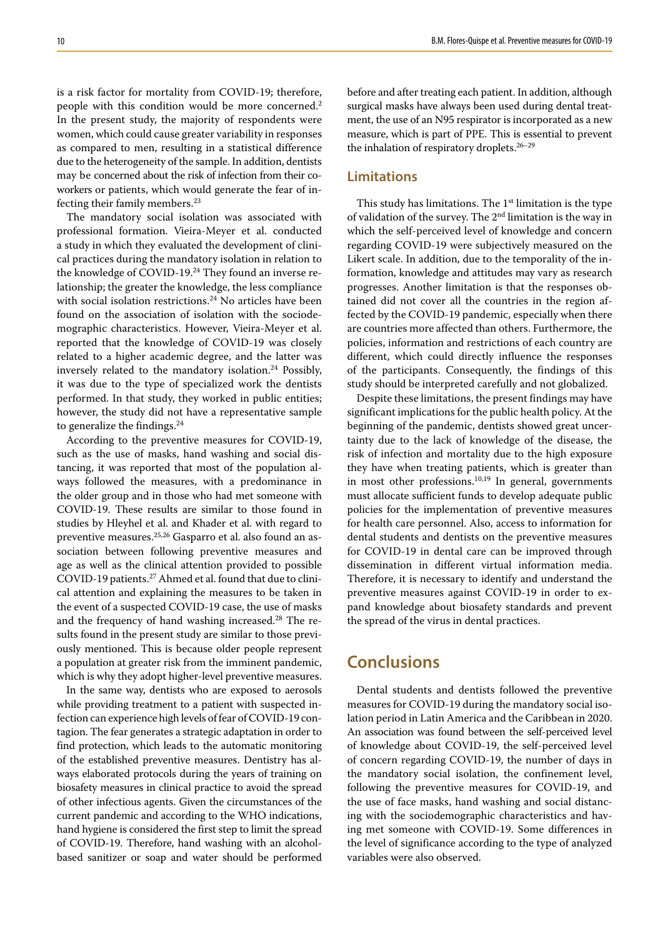is a risk factor for mortality from COVID-19; therefore, people with this condition would be more concerned.<sup>2</sup> In the present study, the majority of respondents were women, which could cause greater variability in responses as compared to men, resulting in a statistical difference due to the heterogeneity of the sample. In addition, dentists may be concerned about the risk of infection from their coworkers or patients, which would generate the fear of infecting their family members.23

The mandatory social isolation was associated with professional formation. Vieira-Meyer et al. conducted a study in which they evaluated the development of clinical practices during the mandatory isolation in relation to the knowledge of COVID-19.<sup>24</sup> They found an inverse relationship; the greater the knowledge, the less compliance with social isolation restrictions.<sup>24</sup> No articles have been found on the association of isolation with the sociodemographic characteristics. However, Vieira-Meyer et al. reported that the knowledge of COVID-19 was closely related to a higher academic degree, and the latter was inversely related to the mandatory isolation.24 Possibly, it was due to the type of specialized work the dentists performed. In that study, they worked in public entities; however, the study did not have a representative sample to generalize the findings. $24$ 

According to the preventive measures for COVID-19, such as the use of masks, hand washing and social distancing, it was reported that most of the population always followed the measures, with a predominance in the older group and in those who had met someone with COVID-19. These results are similar to those found in studies by Hleyhel et al. and Khader et al. with regard to preventive measures.25,26 Gasparro et al. also found an association between following preventive measures and age as well as the clinical attention provided to possible COVID-19 patients.<sup>27</sup> Ahmed et al. found that due to clinical attention and explaining the measures to be taken in the event of a suspected COVID-19 case, the use of masks and the frequency of hand washing increased.<sup>28</sup> The results found in the present study are similar to those previously mentioned. This is because older people represent a population at greater risk from the imminent pandemic, which is why they adopt higher-level preventive measures.

In the same way, dentists who are exposed to aerosols while providing treatment to a patient with suspected infection can experience high levels of fear of COVID-19 contagion. The fear generates a strategic adaptation in order to find protection, which leads to the automatic monitoring of the established preventive measures. Dentistry has always elaborated protocols during the years of training on biosafety measures in clinical practice to avoid the spread of other infectious agents. Given the circumstances of the current pandemic and according to the WHO indications, hand hygiene is considered the first step to limit the spread of COVID-19. Therefore, hand washing with an alcoholbased sanitizer or soap and water should be performed before and after treating each patient. In addition, although surgical masks have always been used during dental treatment, the use of an N95 respirator is incorporated as a new measure, which is part of PPE. This is essential to prevent the inhalation of respiratory droplets.<sup>26-29</sup>

#### **Limitations**

This study has limitations. The  $1<sup>st</sup>$  limitation is the type of validation of the survey. The 2nd limitation is the way in which the self-perceived level of knowledge and concern regarding COVID-19 were subjectively measured on the Likert scale. In addition, due to the temporality of the information, knowledge and attitudes may vary as research progresses. Another limitation is that the responses obtained did not cover all the countries in the region affected by the COVID-19 pandemic, especially when there are countries more affected than others. Furthermore, the policies, information and restrictions of each country are different, which could directly influence the responses of the participants. Consequently, the findings of this study should be interpreted carefully and not globalized.

Despite these limitations, the present findings may have significant implications for the public health policy. At the beginning of the pandemic, dentists showed great uncertainty due to the lack of knowledge of the disease, the risk of infection and mortality due to the high exposure they have when treating patients, which is greater than in most other professions.<sup>10,19</sup> In general, governments must allocate sufficient funds to develop adequate public policies for the implementation of preventive measures for health care personnel. Also, access to information for dental students and dentists on the preventive measures for COVID-19 in dental care can be improved through dissemination in different virtual information media. Therefore, it is necessary to identify and understand the preventive measures against COVID-19 in order to expand knowledge about biosafety standards and prevent the spread of the virus in dental practices.

# **Conclusions**

Dental students and dentists followed the preventive measures for COVID-19 during the mandatory social isolation period in Latin America and the Caribbean in 2020. An association was found between the self-perceived level of knowledge about COVID-19, the self-perceived level of concern regarding COVID-19, the number of days in the mandatory social isolation, the confinement level, following the preventive measures for COVID-19, and the use of face masks, hand washing and social distancing with the sociodemographic characteristics and having met someone with COVID-19. Some differences in the level of significance according to the type of analyzed variables were also observed.